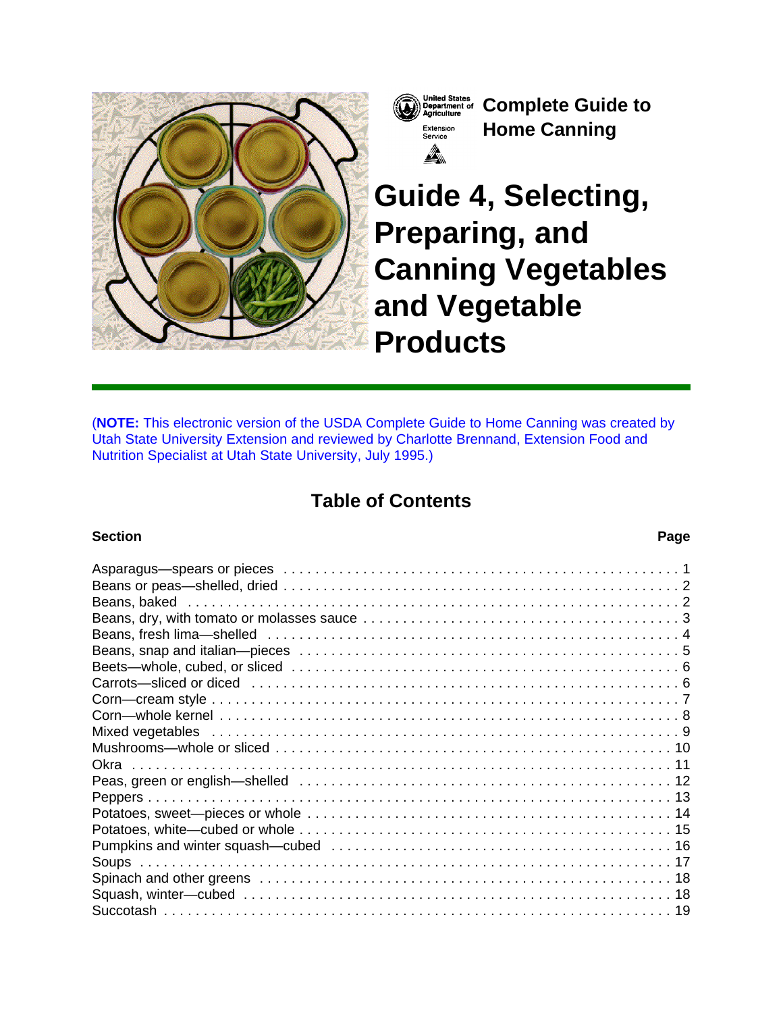



**Complete Guide to Home Canning**

# **Guide 4, Selecting, Preparing, and Canning Vegetables and Vegetable Products**

(**NOTE:** This electronic version of the USDA Complete Guide to Home Canning was created by Utah State University Extension and reviewed by Charlotte Brennand, Extension Food and Nutrition Specialist at Utah State University, July 1995.)

# **Table of Contents**

### **Section Page**

| Asparagus—spears or pieces ………………………………………………………………………1                                                         |  |
|-----------------------------------------------------------------------------------------------------------------|--|
|                                                                                                                 |  |
|                                                                                                                 |  |
|                                                                                                                 |  |
|                                                                                                                 |  |
|                                                                                                                 |  |
|                                                                                                                 |  |
| Carrots—sliced or diced memory in the contract of the care of the care of the care of the care of the care of t |  |
|                                                                                                                 |  |
|                                                                                                                 |  |
|                                                                                                                 |  |
| Mixed vegetables experiences in the series of the series of the series of the series of the series of the seri  |  |
|                                                                                                                 |  |
|                                                                                                                 |  |
|                                                                                                                 |  |
|                                                                                                                 |  |
|                                                                                                                 |  |
|                                                                                                                 |  |
|                                                                                                                 |  |
|                                                                                                                 |  |
|                                                                                                                 |  |
|                                                                                                                 |  |
|                                                                                                                 |  |
|                                                                                                                 |  |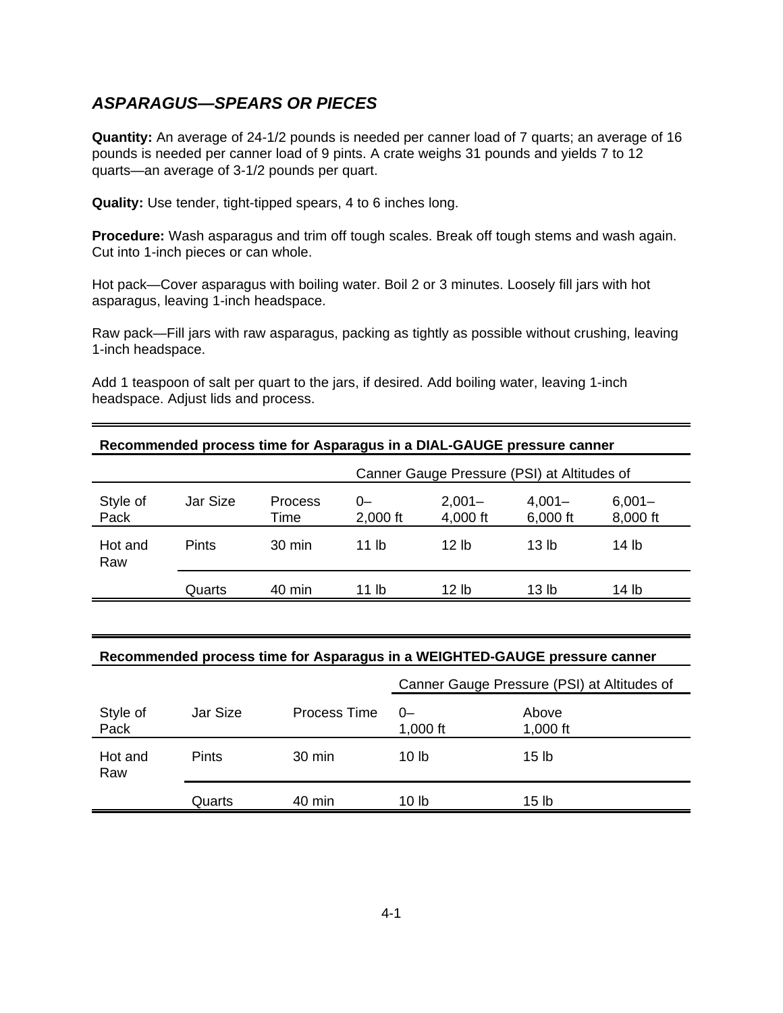# **ASPARAGUS—SPEARS OR PIECES**

**Quantity:** An average of 24-1/2 pounds is needed per canner load of 7 quarts; an average of 16 pounds is needed per canner load of 9 pints. A crate weighs 31 pounds and yields 7 to 12 quarts—an average of 3-1/2 pounds per quart.

**Quality:** Use tender, tight-tipped spears, 4 to 6 inches long.

**Procedure:** Wash asparagus and trim off tough scales. Break off tough stems and wash again. Cut into 1-inch pieces or can whole.

Hot pack—Cover asparagus with boiling water. Boil 2 or 3 minutes. Loosely fill jars with hot asparagus, leaving 1-inch headspace.

Raw pack—Fill jars with raw asparagus, packing as tightly as possible without crushing, leaving 1-inch headspace.

Add 1 teaspoon of salt per quart to the jars, if desired. Add boiling water, leaving 1-inch headspace. Adjust lids and process.

|                  |              |                        |                  |                                             | Recommended process time for Asparagus in a DIAL-GAUGE pressure canner |                       |  |  |  |
|------------------|--------------|------------------------|------------------|---------------------------------------------|------------------------------------------------------------------------|-----------------------|--|--|--|
|                  |              |                        |                  | Canner Gauge Pressure (PSI) at Altitudes of |                                                                        |                       |  |  |  |
| Style of<br>Pack | Jar Size     | <b>Process</b><br>Time | $0-$<br>2,000 ft | $2,001 -$<br>4,000 ft                       | $4,001 -$<br>6,000 ft                                                  | $6,001 -$<br>8,000 ft |  |  |  |
| Hot and<br>Raw   | <b>Pints</b> | 30 min                 | 11 lb            | 12 <sub>h</sub>                             | 13 lb                                                                  | 14 lb                 |  |  |  |
|                  | Quarts       | 40 min                 | 11 lb            | 12 lb                                       | 13 lb                                                                  | 14 lb                 |  |  |  |

# **Recommended process time for Asparagus in a DIAL-GAUGE pressure canner**

#### **Recommended process time for Asparagus in a WEIGHTED-GAUGE pressure canner**

|                  |              |              | Canner Gauge Pressure (PSI) at Altitudes of |                     |  |
|------------------|--------------|--------------|---------------------------------------------|---------------------|--|
| Style of<br>Pack | Jar Size     | Process Time | 0-<br>1,000 $ft$                            | Above<br>1,000 $ft$ |  |
| Hot and<br>Raw   | <b>Pints</b> | 30 min       | 10 lb                                       | 15 <sub>lb</sub>    |  |
|                  | Quarts       | 40 min       | 10 lb                                       | 15 <sub>lb</sub>    |  |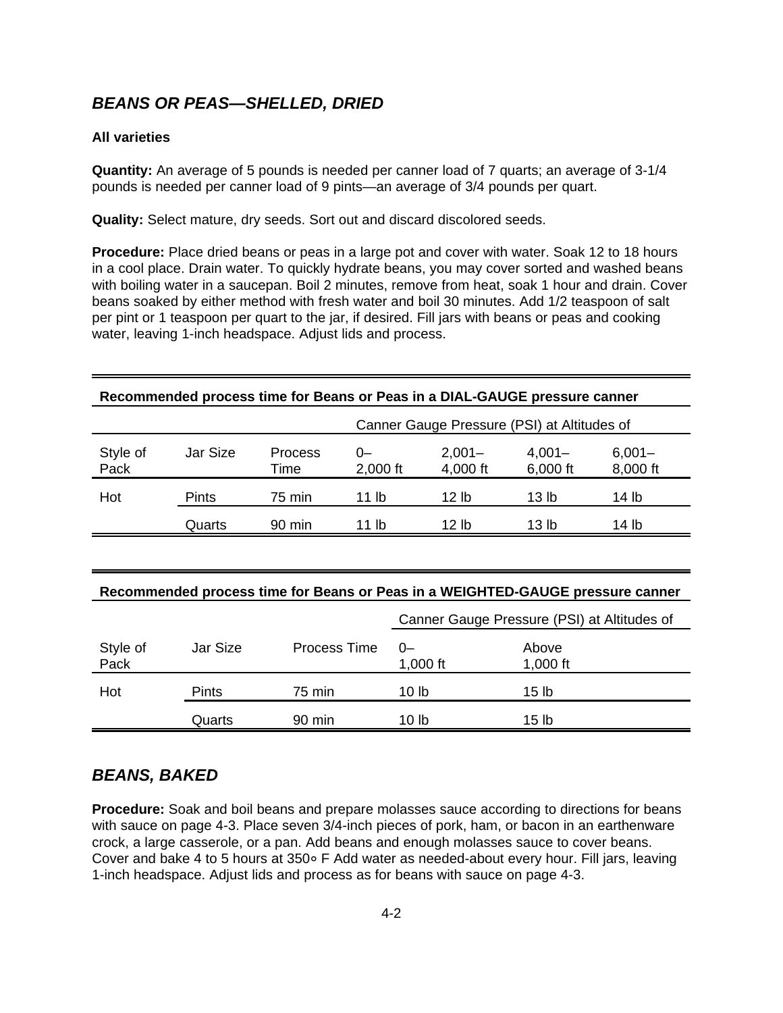# **BEANS OR PEAS—SHELLED, DRIED**

#### **All varieties**

**Quantity:** An average of 5 pounds is needed per canner load of 7 quarts; an average of 3-1/4 pounds is needed per canner load of 9 pints—an average of 3/4 pounds per quart.

**Quality:** Select mature, dry seeds. Sort out and discard discolored seeds.

**Procedure:** Place dried beans or peas in a large pot and cover with water. Soak 12 to 18 hours in a cool place. Drain water. To quickly hydrate beans, you may cover sorted and washed beans with boiling water in a saucepan. Boil 2 minutes, remove from heat, soak 1 hour and drain. Cover beans soaked by either method with fresh water and boil 30 minutes. Add 1/2 teaspoon of salt per pint or 1 teaspoon per quart to the jar, if desired. Fill jars with beans or peas and cooking water, leaving 1-inch headspace. Adjust lids and process.

|                  | Recommended process time for Beans or Peas in a DIAL-GAUGE pressure canner |                                                                                |                  |                       |                                             |                       |  |  |
|------------------|----------------------------------------------------------------------------|--------------------------------------------------------------------------------|------------------|-----------------------|---------------------------------------------|-----------------------|--|--|
|                  |                                                                            |                                                                                |                  |                       | Canner Gauge Pressure (PSI) at Altitudes of |                       |  |  |
| Style of<br>Pack | Jar Size                                                                   | <b>Process</b><br>Time                                                         | $0-$<br>2,000 ft | $2,001 -$<br>4,000 ft | $4,001 -$<br>6,000 ft                       | $6,001 -$<br>8,000 ft |  |  |
| Hot              | <b>Pints</b>                                                               | 75 min                                                                         | 11 <sub>lb</sub> | 12 <sub>lb</sub>      | 13 <sub>lb</sub>                            | 14 lb                 |  |  |
|                  | Quarts                                                                     | 90 min                                                                         | 11 lb            | 12 <sub>lb</sub>      | 13 <sub>lb</sub>                            | 14 lb                 |  |  |
|                  |                                                                            |                                                                                |                  |                       |                                             |                       |  |  |
|                  |                                                                            | Recommended process time for Beans or Peas in a WEIGHTED-GAUGE pressure canner |                  |                       |                                             |                       |  |  |
|                  |                                                                            |                                                                                |                  |                       | Canner Gauge Pressure (PSI) at Altitudes of |                       |  |  |
| Style of<br>Pack | Jar Size                                                                   | <b>Process Time</b>                                                            | $0-$             | 1,000 ft              | Above<br>1,000 ft                           |                       |  |  |
| Hot              | Pints                                                                      | 75 min                                                                         | 10 <sub>1b</sub> |                       | 15 <sub>1b</sub>                            |                       |  |  |
|                  | Quarts                                                                     | 90 min                                                                         | 10 lb            |                       | 15 <sub>lb</sub>                            |                       |  |  |

# **BEANS, BAKED**

**Procedure:** Soak and boil beans and prepare molasses sauce according to directions for beans with sauce on page 4-3. Place seven 3/4-inch pieces of pork, ham, or bacon in an earthenware crock, a large casserole, or a pan. Add beans and enough molasses sauce to cover beans. Cover and bake 4 to 5 hours at 350° F Add water as needed-about every hour. Fill jars, leaving 1-inch headspace. Adjust lids and process as for beans with sauce on page 4-3.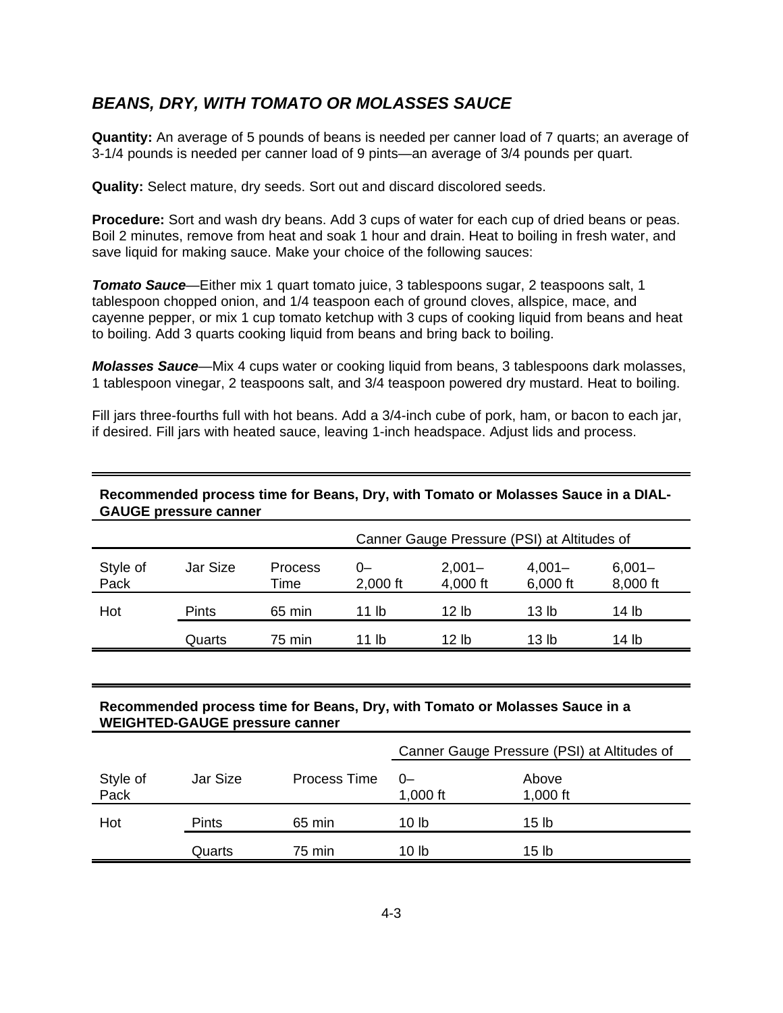# **BEANS, DRY, WITH TOMATO OR MOLASSES SAUCE**

**Quantity:** An average of 5 pounds of beans is needed per canner load of 7 quarts; an average of 3-1/4 pounds is needed per canner load of 9 pints—an average of 3/4 pounds per quart.

**Quality:** Select mature, dry seeds. Sort out and discard discolored seeds.

**Procedure:** Sort and wash dry beans. Add 3 cups of water for each cup of dried beans or peas. Boil 2 minutes, remove from heat and soak 1 hour and drain. Heat to boiling in fresh water, and save liquid for making sauce. Make your choice of the following sauces:

**Tomato Sauce**—Either mix 1 quart tomato juice, 3 tablespoons sugar, 2 teaspoons salt, 1 tablespoon chopped onion, and 1/4 teaspoon each of ground cloves, allspice, mace, and cayenne pepper, or mix 1 cup tomato ketchup with 3 cups of cooking liquid from beans and heat to boiling. Add 3 quarts cooking liquid from beans and bring back to boiling.

**Molasses Sauce**—Mix 4 cups water or cooking liquid from beans, 3 tablespoons dark molasses, 1 tablespoon vinegar, 2 teaspoons salt, and 3/4 teaspoon powered dry mustard. Heat to boiling.

Fill jars three-fourths full with hot beans. Add a 3/4-inch cube of pork, ham, or bacon to each jar, if desired. Fill jars with heated sauce, leaving 1-inch headspace. Adjust lids and process.

#### **Recommended process time for Beans, Dry, with Tomato or Molasses Sauce in a DIAL-GAUGE pressure canner**

|                  |              |                 | Canner Gauge Pressure (PSI) at Altitudes of |                       |                       |                       |  |
|------------------|--------------|-----------------|---------------------------------------------|-----------------------|-----------------------|-----------------------|--|
| Style of<br>Pack | Jar Size     | Process<br>Time | $0-$<br>2,000 ft                            | $2,001 -$<br>4,000 ft | $4,001 -$<br>6,000 ft | $6,001 -$<br>8,000 ft |  |
| Hot              | <b>Pints</b> | 65 min          | 11 lb                                       | 12 lb                 | 13 lb                 | 14 lb                 |  |
|                  | Quarts       | 75 min          | 11 lb                                       | 12 lb                 | 13 lb                 | 14 lb                 |  |

#### **Recommended process time for Beans, Dry, with Tomato or Molasses Sauce in a WEIGHTED-GAUGE pressure canner**

|                  |              |              | Canner Gauge Pressure (PSI) at Altitudes of |                     |
|------------------|--------------|--------------|---------------------------------------------|---------------------|
| Style of<br>Pack | Jar Size     | Process Time | 0-<br>1,000 $ft$                            | Above<br>1,000 $ft$ |
| Hot              | <b>Pints</b> | 65 min       | 10 lb                                       | 15 lb               |
|                  | Quarts       | 75 min       | 10 lb                                       | 15 <sub>lb</sub>    |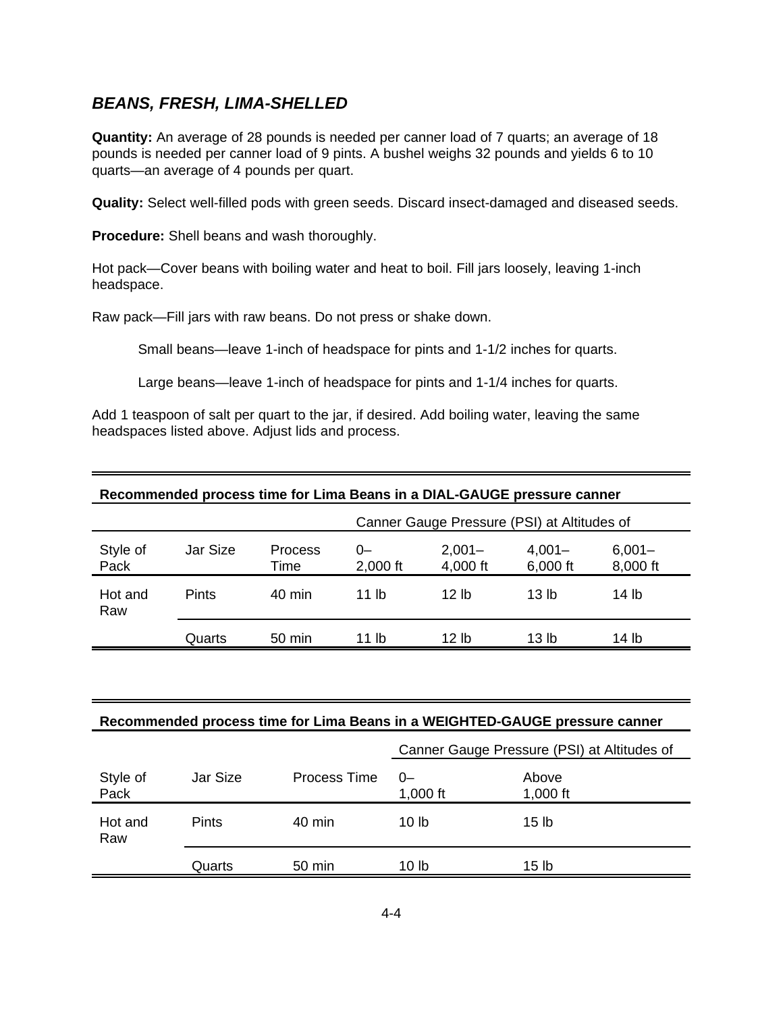# **BEANS, FRESH, LIMA-SHELLED**

**Quantity:** An average of 28 pounds is needed per canner load of 7 quarts; an average of 18 pounds is needed per canner load of 9 pints. A bushel weighs 32 pounds and yields 6 to 10 quarts—an average of 4 pounds per quart.

**Quality:** Select well-filled pods with green seeds. Discard insect-damaged and diseased seeds.

**Procedure:** Shell beans and wash thoroughly.

Hot pack—Cover beans with boiling water and heat to boil. Fill jars loosely, leaving 1-inch headspace.

Raw pack—Fill jars with raw beans. Do not press or shake down.

Small beans—leave 1-inch of headspace for pints and 1-1/2 inches for quarts.

Large beans—leave 1-inch of headspace for pints and 1-1/4 inches for quarts.

Add 1 teaspoon of salt per quart to the jar, if desired. Add boiling water, leaving the same headspaces listed above. Adjust lids and process.

| Recommended process time for Lima Beans in a DIAL-GAUGE pressure canner |          |                        |                  |                                             |                       |                       |  |  |  |
|-------------------------------------------------------------------------|----------|------------------------|------------------|---------------------------------------------|-----------------------|-----------------------|--|--|--|
|                                                                         |          |                        |                  | Canner Gauge Pressure (PSI) at Altitudes of |                       |                       |  |  |  |
| Style of<br>Pack                                                        | Jar Size | <b>Process</b><br>Time | $0-$<br>2,000 ft | $2,001 -$<br>4,000 ft                       | $4,001 -$<br>6,000 ft | $6,001 -$<br>8,000 ft |  |  |  |
| Hot and<br>Raw                                                          | Pints    | $40 \text{ min}$       | 11 lb            | 12 lb                                       | 13 <sub>lh</sub>      | 14 lb                 |  |  |  |
|                                                                         | Quarts   | 50 min                 | 11 lb            | 12 lb                                       | 13 lb                 | 14 lb                 |  |  |  |

#### **Recommended process time for Lima Beans in a WEIGHTED-GAUGE pressure canner**

|                  |              |              | Canner Gauge Pressure (PSI) at Altitudes of |                     |  |
|------------------|--------------|--------------|---------------------------------------------|---------------------|--|
| Style of<br>Pack | Jar Size     | Process Time | $0-$<br>1,000 $ft$                          | Above<br>1,000 $ft$ |  |
| Hot and<br>Raw   | <b>Pints</b> | 40 min       | 10 lb                                       | 15 <sub>lb</sub>    |  |
|                  | Quarts       | 50 min       | 10 lb                                       | 15 lb               |  |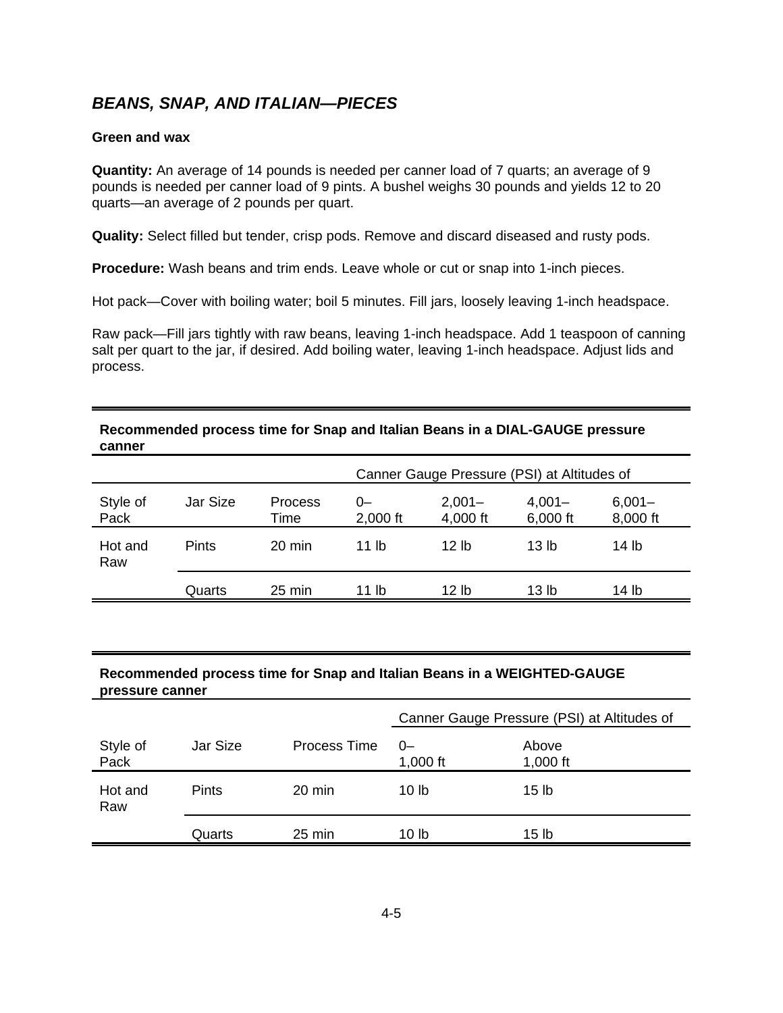# **BEANS, SNAP, AND ITALIAN—PIECES**

#### **Green and wax**

**Quantity:** An average of 14 pounds is needed per canner load of 7 quarts; an average of 9 pounds is needed per canner load of 9 pints. A bushel weighs 30 pounds and yields 12 to 20 quarts—an average of 2 pounds per quart.

**Quality:** Select filled but tender, crisp pods. Remove and discard diseased and rusty pods.

**Procedure:** Wash beans and trim ends. Leave whole or cut or snap into 1-inch pieces.

Hot pack—Cover with boiling water; boil 5 minutes. Fill jars, loosely leaving 1-inch headspace.

Raw pack—Fill jars tightly with raw beans, leaving 1-inch headspace. Add 1 teaspoon of canning salt per quart to the jar, if desired. Add boiling water, leaving 1-inch headspace. Adjust lids and process.

#### **Recommended process time for Snap and Italian Beans in a DIAL-GAUGE pressure canner**

|                  |              |                        | Canner Gauge Pressure (PSI) at Altitudes of |                       |                       |                       |  |
|------------------|--------------|------------------------|---------------------------------------------|-----------------------|-----------------------|-----------------------|--|
| Style of<br>Pack | Jar Size     | <b>Process</b><br>Time | 0-<br>2,000 ft                              | $2,001 -$<br>4,000 ft | $4,001 -$<br>6,000 ft | $6,001 -$<br>8,000 ft |  |
| Hot and<br>Raw   | <b>Pints</b> | $20 \text{ min}$       | 11 lb                                       | 12 lb                 | 13 <sub>lh</sub>      | 14 lb                 |  |
|                  | Quarts       | $25 \text{ min}$       | 11 lb                                       | 12 lb                 | 13 lb                 | 14 lb                 |  |

#### **Recommended process time for Snap and Italian Beans in a WEIGHTED-GAUGE pressure canner**

|                  |              |                     | Canner Gauge Pressure (PSI) at Altitudes of |                   |  |
|------------------|--------------|---------------------|---------------------------------------------|-------------------|--|
| Style of<br>Pack | Jar Size     | <b>Process Time</b> | $0-$<br>1,000 $ft$                          | Above<br>1,000 ft |  |
| Hot and<br>Raw   | <b>Pints</b> | 20 min              | 10 lb                                       | 15 <sub>lb</sub>  |  |
|                  | Quarts       | 25 min              | 10 lb                                       | 15 lb             |  |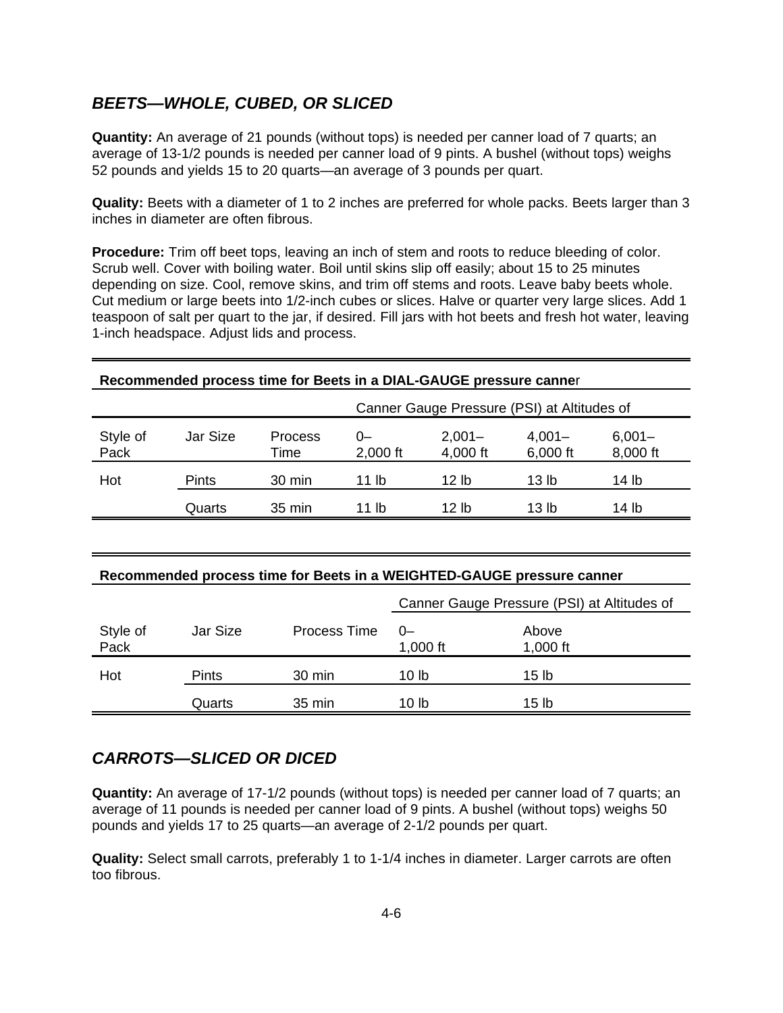## **BEETS—WHOLE, CUBED, OR SLICED**

**Quantity:** An average of 21 pounds (without tops) is needed per canner load of 7 quarts; an average of 13-1/2 pounds is needed per canner load of 9 pints. A bushel (without tops) weighs 52 pounds and yields 15 to 20 quarts—an average of 3 pounds per quart.

**Quality:** Beets with a diameter of 1 to 2 inches are preferred for whole packs. Beets larger than 3 inches in diameter are often fibrous.

**Procedure:** Trim off beet tops, leaving an inch of stem and roots to reduce bleeding of color. Scrub well. Cover with boiling water. Boil until skins slip off easily; about 15 to 25 minutes depending on size. Cool, remove skins, and trim off stems and roots. Leave baby beets whole. Cut medium or large beets into 1/2-inch cubes or slices. Halve or quarter very large slices. Add 1 teaspoon of salt per quart to the jar, if desired. Fill jars with hot beets and fresh hot water, leaving 1-inch headspace. Adjust lids and process.

| Recommended process time for Beets in a DIAL-GAUGE pressure canner<br>Canner Gauge Pressure (PSI) at Altitudes of |              |                        |                  |                       |                       |                       |  |
|-------------------------------------------------------------------------------------------------------------------|--------------|------------------------|------------------|-----------------------|-----------------------|-----------------------|--|
| Style of<br>Pack                                                                                                  | Jar Size     | <b>Process</b><br>Time | $0-$<br>2,000 ft | $2,001 -$<br>4,000 ft | $4,001 -$<br>6,000 ft | $6,001 -$<br>8,000 ft |  |
| Hot                                                                                                               | <b>Pints</b> | 30 min                 | 11 lb            | 12 lb                 | 13 <sub>lb</sub>      | 14 lb                 |  |
|                                                                                                                   | Quarts       | $35 \text{ min}$       | 11 lb            | 12 <sub>1b</sub>      | 13 <sub>lb</sub>      | 14 <sub>lb</sub>      |  |
|                                                                                                                   |              |                        |                  |                       |                       |                       |  |
| Recommended process time for Beets in a WEIGHTED-GAUGE pressure canner                                            |              |                        |                  |                       |                       |                       |  |

|                  |              |              | Canner Gauge Pressure (PSI) at Altitudes of |                     |
|------------------|--------------|--------------|---------------------------------------------|---------------------|
| Style of<br>Pack | Jar Size     | Process Time | $0-$<br>1,000 $ft$                          | Above<br>1,000 $ft$ |
| Hot              | <b>Pints</b> | 30 min       | 10 lb                                       | 15 <sub>lb</sub>    |
|                  | Quarts       | 35 min       | 10 lb                                       | 15 lb               |

### **CARROTS—SLICED OR DICED**

**Quantity:** An average of 17-1/2 pounds (without tops) is needed per canner load of 7 quarts; an average of 11 pounds is needed per canner load of 9 pints. A bushel (without tops) weighs 50 pounds and yields 17 to 25 quarts—an average of 2-1/2 pounds per quart.

**Quality:** Select small carrots, preferably 1 to 1-1/4 inches in diameter. Larger carrots are often too fibrous.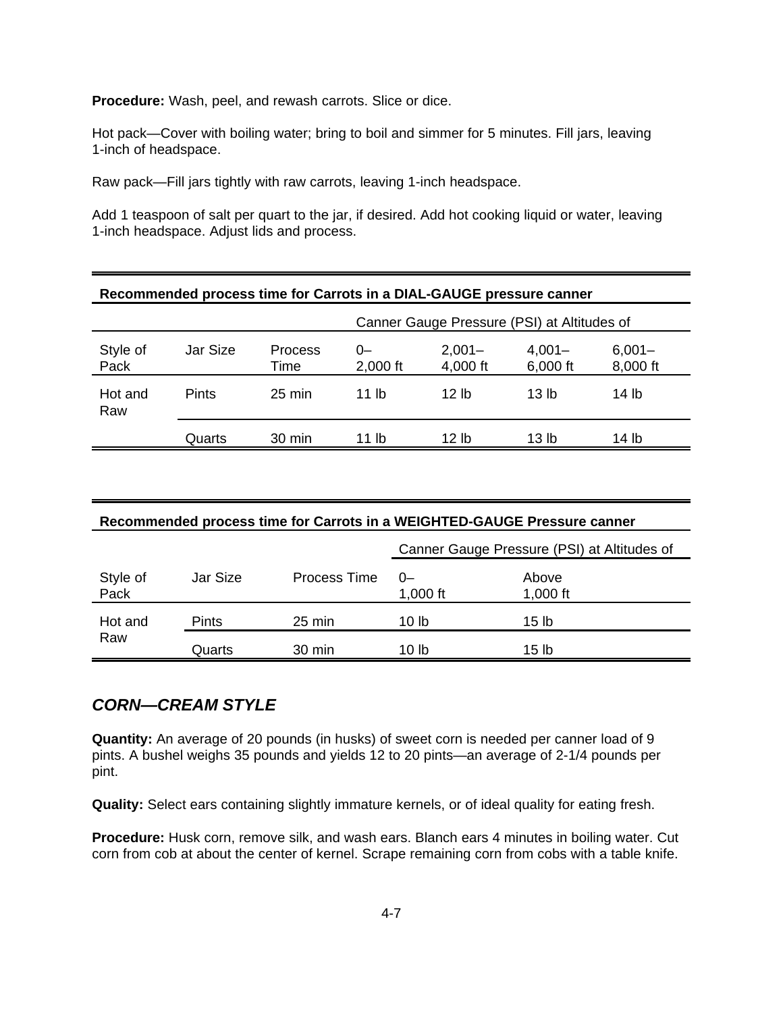**Procedure:** Wash, peel, and rewash carrots. Slice or dice.

Hot pack—Cover with boiling water; bring to boil and simmer for 5 minutes. Fill jars, leaving 1-inch of headspace.

Raw pack—Fill jars tightly with raw carrots, leaving 1-inch headspace.

Add 1 teaspoon of salt per quart to the jar, if desired. Add hot cooking liquid or water, leaving 1-inch headspace. Adjust lids and process.

| Recommended process time for Carrots in a DIAL-GAUGE pressure canner |              |                        |                                             |                       |                       |                       |  |  |  |
|----------------------------------------------------------------------|--------------|------------------------|---------------------------------------------|-----------------------|-----------------------|-----------------------|--|--|--|
|                                                                      |              |                        | Canner Gauge Pressure (PSI) at Altitudes of |                       |                       |                       |  |  |  |
| Style of<br>Pack                                                     | Jar Size     | <b>Process</b><br>Time | $0-$<br>$2,000$ ft                          | $2,001 -$<br>4,000 ft | $4,001 -$<br>6,000 ft | $6,001 -$<br>8,000 ft |  |  |  |
| Hot and<br>Raw                                                       | <b>Pints</b> | $25 \text{ min}$       | 11 lb                                       | 12 lb                 | 13 <sub>lh</sub>      | 14 lb                 |  |  |  |
|                                                                      | Quarts       | $30 \text{ min}$       | 11 lb                                       | 12 lb                 | 13 lb                 | 14 lb                 |  |  |  |

| Recommended process time for Carrots in a WEIGHTED-GAUGE Pressure canner |              |                  |                                             |                   |  |  |  |
|--------------------------------------------------------------------------|--------------|------------------|---------------------------------------------|-------------------|--|--|--|
|                                                                          |              |                  | Canner Gauge Pressure (PSI) at Altitudes of |                   |  |  |  |
| Style of<br>Pack                                                         | Jar Size     | Process Time     | ()<br>1,000 ft                              | Above<br>1,000 ft |  |  |  |
| Hot and                                                                  | <b>Pints</b> | $25 \text{ min}$ | 10 lb                                       | 15 lb             |  |  |  |
| Raw                                                                      | Quarts       | 30 min           | 10 lb                                       | 15 lb             |  |  |  |

### **CORN—CREAM STYLE**

**Quantity:** An average of 20 pounds (in husks) of sweet corn is needed per canner load of 9 pints. A bushel weighs 35 pounds and yields 12 to 20 pints—an average of 2-1/4 pounds per pint.

**Quality:** Select ears containing slightly immature kernels, or of ideal quality for eating fresh.

**Procedure:** Husk corn, remove silk, and wash ears. Blanch ears 4 minutes in boiling water. Cut corn from cob at about the center of kernel. Scrape remaining corn from cobs with a table knife.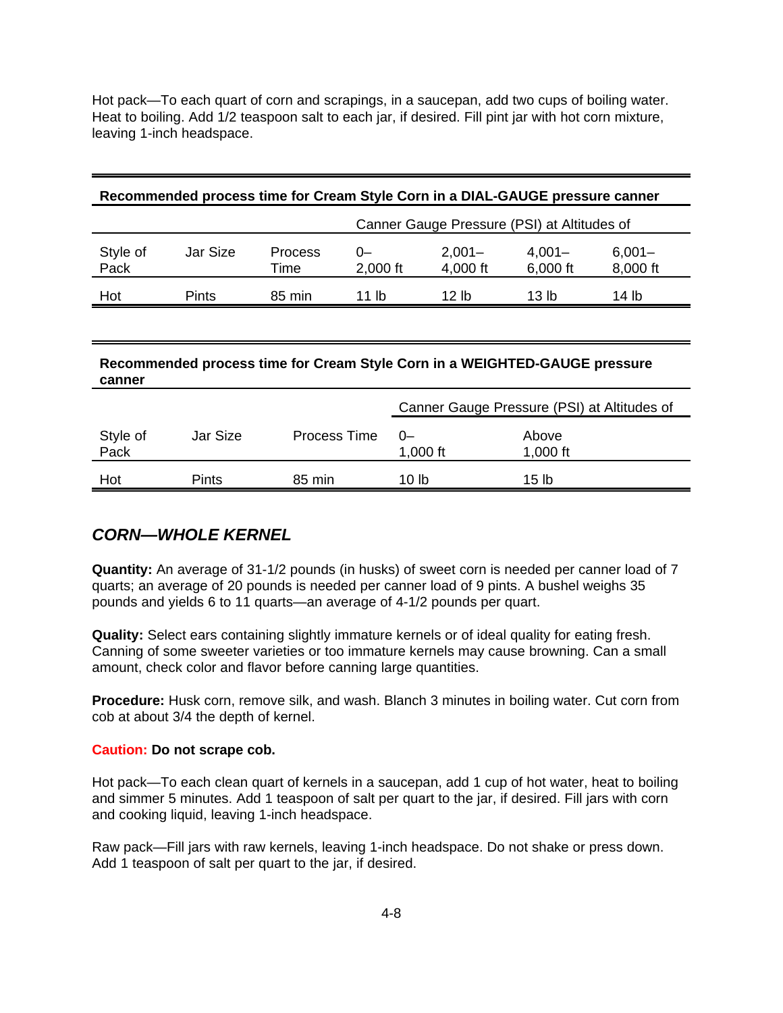Hot pack—To each quart of corn and scrapings, in a saucepan, add two cups of boiling water. Heat to boiling. Add 1/2 teaspoon salt to each jar, if desired. Fill pint jar with hot corn mixture, leaving 1-inch headspace.

#### **Recommended process time for Cream Style Corn in a DIAL-GAUGE pressure canner**

|                  |              |                        | Canner Gauge Pressure (PSI) at Altitudes of |                       |                       |                       |  |
|------------------|--------------|------------------------|---------------------------------------------|-----------------------|-----------------------|-----------------------|--|
| Style of<br>Pack | Jar Size     | <b>Process</b><br>Time | O-<br>$2,000$ ft                            | $2,001 -$<br>4,000 ft | $4,001 -$<br>6,000 ft | $6,001 -$<br>8,000 ft |  |
| Hot              | <b>Pints</b> | 85 min                 | 11 lb                                       | 12 lb                 | 13 lb                 | 14 lb                 |  |

#### **Recommended process time for Cream Style Corn in a WEIGHTED-GAUGE pressure canner**

|                  |          |              | Canner Gauge Pressure (PSI) at Altitudes of |                   |  |
|------------------|----------|--------------|---------------------------------------------|-------------------|--|
| Style of<br>Pack | Jar Size | Process Time | $0-$<br>1,000 ft                            | Above<br>1,000 ft |  |
| Hot              | Pints    | 85 min       | 10 lb                                       | 15 lb             |  |

### **CORN—WHOLE KERNEL**

**Quantity:** An average of 31-1/2 pounds (in husks) of sweet corn is needed per canner load of 7 quarts; an average of 20 pounds is needed per canner load of 9 pints. A bushel weighs 35 pounds and yields 6 to 11 quarts—an average of 4-1/2 pounds per quart.

**Quality:** Select ears containing slightly immature kernels or of ideal quality for eating fresh. Canning of some sweeter varieties or too immature kernels may cause browning. Can a small amount, check color and flavor before canning large quantities.

**Procedure:** Husk corn, remove silk, and wash. Blanch 3 minutes in boiling water. Cut corn from cob at about 3/4 the depth of kernel.

#### **Caution: Do not scrape cob.**

Hot pack—To each clean quart of kernels in a saucepan, add 1 cup of hot water, heat to boiling and simmer 5 minutes. Add 1 teaspoon of salt per quart to the jar, if desired. Fill jars with corn and cooking liquid, leaving 1-inch headspace.

Raw pack—Fill jars with raw kernels, leaving 1-inch headspace. Do not shake or press down. Add 1 teaspoon of salt per quart to the jar, if desired.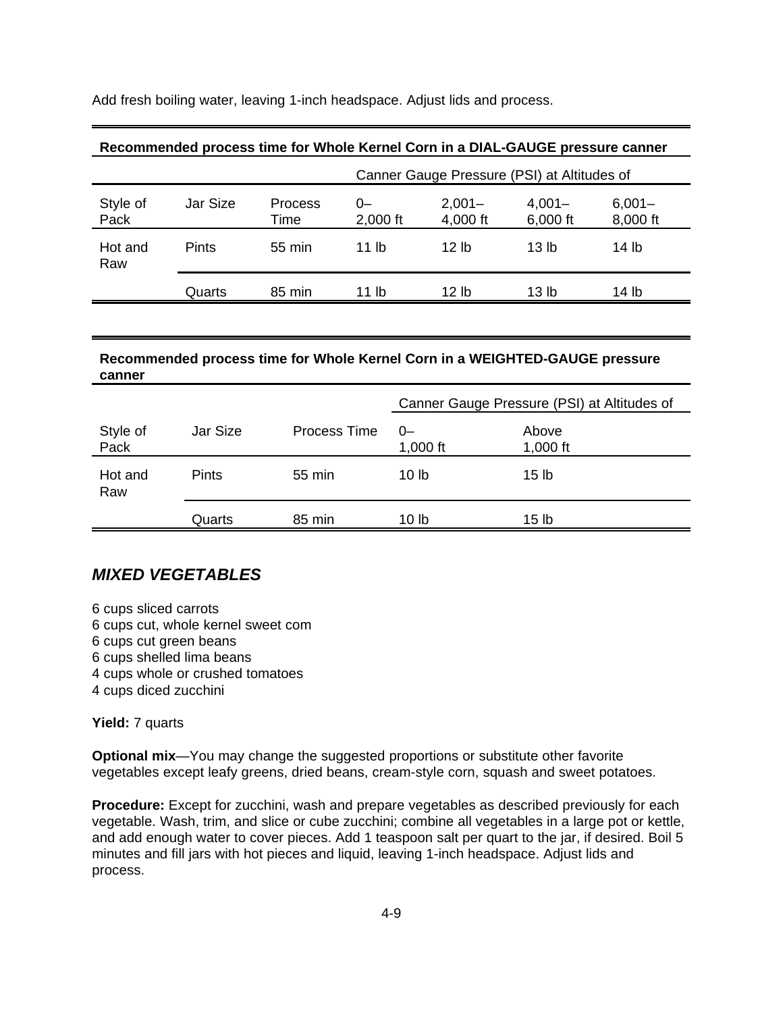Add fresh boiling water, leaving 1-inch headspace. Adjust lids and process.

|                  | Recommended process time for Whole Kernel Corn in a DIAL-GAUGE pressure canner |                                             |                    |                       |                       |                       |  |  |  |
|------------------|--------------------------------------------------------------------------------|---------------------------------------------|--------------------|-----------------------|-----------------------|-----------------------|--|--|--|
|                  |                                                                                | Canner Gauge Pressure (PSI) at Altitudes of |                    |                       |                       |                       |  |  |  |
| Style of<br>Pack | Jar Size                                                                       | <b>Process</b><br>Time                      | $0-$<br>$2,000$ ft | $2,001 -$<br>4,000 ft | $4,001 -$<br>6,000 ft | $6,001 -$<br>8,000 ft |  |  |  |
| Hot and<br>Raw   | <b>Pints</b>                                                                   | 55 min                                      | 11 lb              | 12 <sub>h</sub>       | 13 <sub>lh</sub>      | 14 lb                 |  |  |  |
|                  | Quarts                                                                         | 85 min                                      | 11 lb              | 12 lb                 | 13 lb                 | 14 lb                 |  |  |  |

#### **Recommended process time for Whole Kernel Corn in a DIAL-GAUGE pressure canner**

#### **Recommended process time for Whole Kernel Corn in a WEIGHTED-GAUGE pressure canner**

|                  |              |              | Canner Gauge Pressure (PSI) at Altitudes of |                     |
|------------------|--------------|--------------|---------------------------------------------|---------------------|
| Style of<br>Pack | Jar Size     | Process Time | $0-$<br>1,000 ft                            | Above<br>1,000 $ft$ |
| Hot and<br>Raw   | <b>Pints</b> | 55 min       | 10 <sub>1b</sub>                            | 15 <sub>lb</sub>    |
|                  | Quarts       | 85 min       | 10 lb                                       | 15 <sub>lb</sub>    |

#### **MIXED VEGETABLES**

6 cups sliced carrots 6 cups cut, whole kernel sweet com 6 cups cut green beans 6 cups shelled lima beans 4 cups whole or crushed tomatoes 4 cups diced zucchini

**Yield:** 7 quarts

**Optional mix**—You may change the suggested proportions or substitute other favorite vegetables except leafy greens, dried beans, cream-style corn, squash and sweet potatoes.

**Procedure:** Except for zucchini, wash and prepare vegetables as described previously for each vegetable. Wash, trim, and slice or cube zucchini; combine all vegetables in a large pot or kettle, and add enough water to cover pieces. Add 1 teaspoon salt per quart to the jar, if desired. Boil 5 minutes and fill jars with hot pieces and liquid, leaving 1-inch headspace. Adjust lids and process.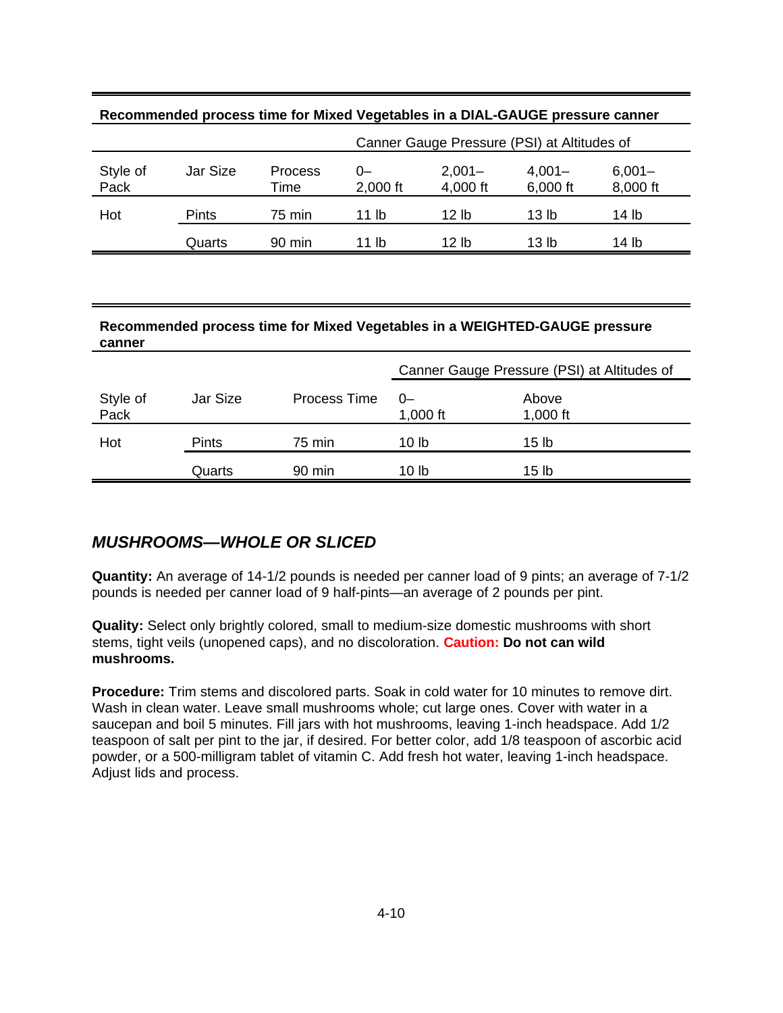| Recommended process time for Mixed Vegetables in a DIAL-GAUGE pressure canner |              |                 |                                             |                       |                       |                       |  |  |
|-------------------------------------------------------------------------------|--------------|-----------------|---------------------------------------------|-----------------------|-----------------------|-----------------------|--|--|
|                                                                               |              |                 | Canner Gauge Pressure (PSI) at Altitudes of |                       |                       |                       |  |  |
| Style of<br>Pack                                                              | Jar Size     | Process<br>Time | $0-$<br>2,000 ft                            | $2,001 -$<br>4,000 ft | $4,001 -$<br>6,000 ft | $6,001 -$<br>8,000 ft |  |  |
| Hot                                                                           | <b>Pints</b> | 75 min          | 11 lb                                       | 12 lb                 | 13 lb                 | 14 lb                 |  |  |
|                                                                               | Quarts       | 90 min          | 11 lb                                       | 12 lb                 | 13 lb                 | 14 lb                 |  |  |

#### **Recommended process time for Mixed Vegetables in a WEIGHTED-GAUGE pressure canner**

|                  |              |              | Canner Gauge Pressure (PSI) at Altitudes of |                     |
|------------------|--------------|--------------|---------------------------------------------|---------------------|
| Style of<br>Pack | Jar Size     | Process Time | $0-$<br>1,000 $ft$                          | Above<br>1,000 $ft$ |
| Hot              | <b>Pints</b> | 75 min       | 10 <sub>lb</sub>                            | 15 <sub>lb</sub>    |
|                  | Quarts       | 90 min       | 10 lb                                       | 15 lb               |

# **MUSHROOMS—WHOLE OR SLICED**

**Quantity:** An average of 14-1/2 pounds is needed per canner load of 9 pints; an average of 7-1/2 pounds is needed per canner load of 9 half-pints—an average of 2 pounds per pint.

**Quality:** Select only brightly colored, small to medium-size domestic mushrooms with short stems, tight veils (unopened caps), and no discoloration. **Caution: Do not can wild mushrooms.**

**Procedure:** Trim stems and discolored parts. Soak in cold water for 10 minutes to remove dirt. Wash in clean water. Leave small mushrooms whole; cut large ones. Cover with water in a saucepan and boil 5 minutes. Fill jars with hot mushrooms, leaving 1-inch headspace. Add 1/2 teaspoon of salt per pint to the jar, if desired. For better color, add 1/8 teaspoon of ascorbic acid powder, or a 500-milligram tablet of vitamin C. Add fresh hot water, leaving 1-inch headspace. Adjust lids and process.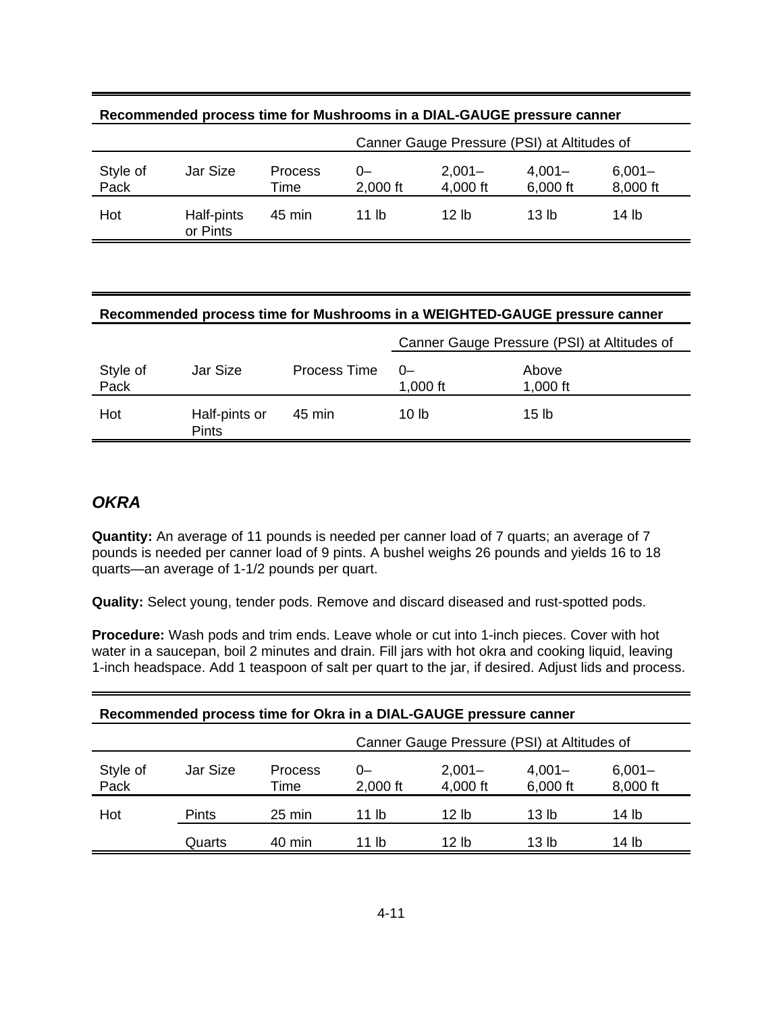| Recommended process time for Mushrooms in a DIAL-GAUGE pressure canner |                        |                                             |                |                       |                       |                       |  |  |  |
|------------------------------------------------------------------------|------------------------|---------------------------------------------|----------------|-----------------------|-----------------------|-----------------------|--|--|--|
|                                                                        |                        | Canner Gauge Pressure (PSI) at Altitudes of |                |                       |                       |                       |  |  |  |
| Style of<br>Pack                                                       | Jar Size               | <b>Process</b><br>Time                      | 0-<br>2,000 ft | $2,001 -$<br>4,000 ft | $4,001 -$<br>6,000 ft | $6,001 -$<br>8,000 ft |  |  |  |
| Hot                                                                    | Half-pints<br>or Pints | 45 min                                      | 11 lb          | 12 lb                 | 13 <sub>lh</sub>      | 14 lb                 |  |  |  |

#### **Recommended process time for Mushrooms in a WEIGHTED-GAUGE pressure canner**

|                  |                               |              | Canner Gauge Pressure (PSI) at Altitudes of |                     |
|------------------|-------------------------------|--------------|---------------------------------------------|---------------------|
| Style of<br>Pack | Jar Size                      | Process Time | $0-$<br>1,000 $ft$                          | Above<br>1,000 $ft$ |
| Hot              | Half-pints or<br><b>Pints</b> | 45 min       | 10 lb                                       | 15 lb               |

#### **OKRA**

**Quantity:** An average of 11 pounds is needed per canner load of 7 quarts; an average of 7 pounds is needed per canner load of 9 pints. A bushel weighs 26 pounds and yields 16 to 18 quarts—an average of 1-1/2 pounds per quart.

**Quality:** Select young, tender pods. Remove and discard diseased and rust-spotted pods.

**Procedure:** Wash pods and trim ends. Leave whole or cut into 1-inch pieces. Cover with hot water in a saucepan, boil 2 minutes and drain. Fill jars with hot okra and cooking liquid, leaving 1-inch headspace. Add 1 teaspoon of salt per quart to the jar, if desired. Adjust lids and process.

| Recommended process time for Okra in a DIAL-GAUGE pressure canner |          |                  |                                             |                       |                       |                       |  |  |
|-------------------------------------------------------------------|----------|------------------|---------------------------------------------|-----------------------|-----------------------|-----------------------|--|--|
|                                                                   |          |                  | Canner Gauge Pressure (PSI) at Altitudes of |                       |                       |                       |  |  |
| Style of<br>Pack                                                  | Jar Size | Process<br>Time  | $0-$<br>2,000 ft                            | $2,001 -$<br>4,000 ft | $4,001 -$<br>6,000 ft | $6,001 -$<br>8,000 ft |  |  |
| Hot                                                               | Pints    | $25 \text{ min}$ | 11 lb                                       | 12 lb                 | 13 lb                 | 14 lb                 |  |  |
|                                                                   | Quarts   | 40 min           | 11 lb                                       | 12 lb                 | 13 lb                 | 14 lb                 |  |  |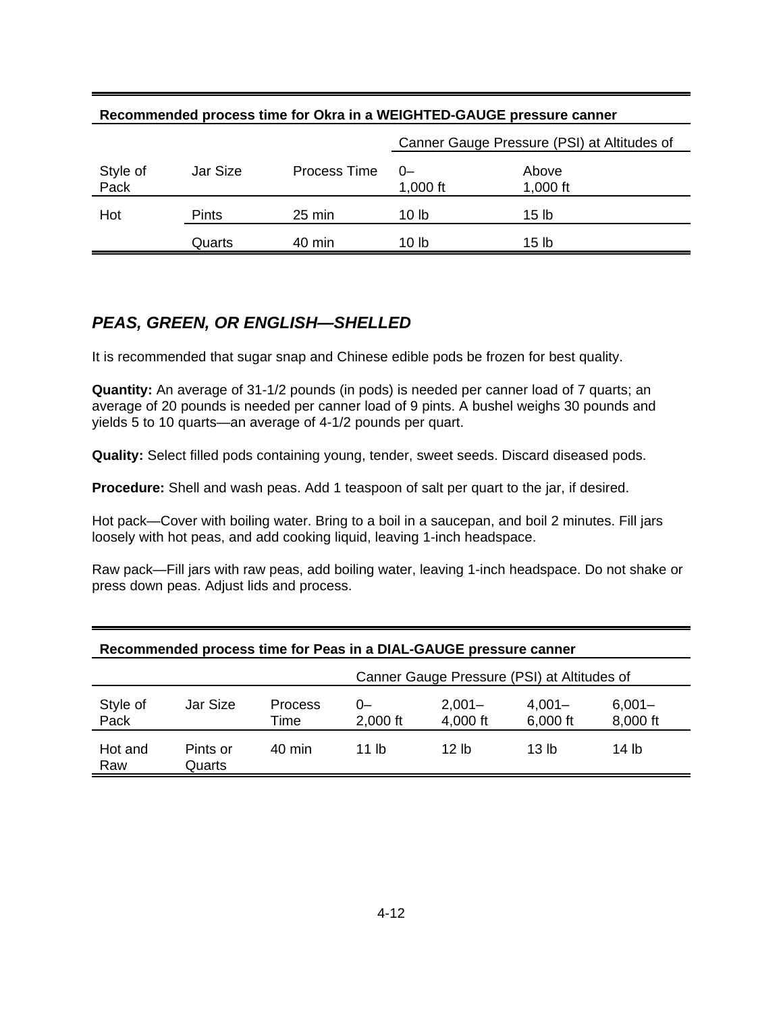|                  | <u>NECOMMICIUS DI OCESSIMIIE IUI UNIA III A VILIOI II LO-OAUOL DIESSUIE CANIEI</u> |                     |                                             |                   |  |  |  |
|------------------|------------------------------------------------------------------------------------|---------------------|---------------------------------------------|-------------------|--|--|--|
|                  |                                                                                    |                     | Canner Gauge Pressure (PSI) at Altitudes of |                   |  |  |  |
| Style of<br>Pack | Jar Size                                                                           | <b>Process Time</b> | $0-$<br>1,000 $ft$                          | Above<br>1,000 ft |  |  |  |
| Hot              | Pints                                                                              | 25 min              | 10 lb                                       | 15 lb             |  |  |  |
|                  | Quarts                                                                             | 40 min              | 10 lb                                       | 15 lb             |  |  |  |

### **Recommended process time for Okra in a WEIGHTED-GAUGE pressure canner**

# **PEAS, GREEN, OR ENGLISH—SHELLED**

It is recommended that sugar snap and Chinese edible pods be frozen for best quality.

**Quantity:** An average of 31-1/2 pounds (in pods) is needed per canner load of 7 quarts; an average of 20 pounds is needed per canner load of 9 pints. A bushel weighs 30 pounds and yields 5 to 10 quarts—an average of 4-1/2 pounds per quart.

**Quality:** Select filled pods containing young, tender, sweet seeds. Discard diseased pods.

**Procedure:** Shell and wash peas. Add 1 teaspoon of salt per quart to the jar, if desired.

Hot pack—Cover with boiling water. Bring to a boil in a saucepan, and boil 2 minutes. Fill jars loosely with hot peas, and add cooking liquid, leaving 1-inch headspace.

Raw pack—Fill jars with raw peas, add boiling water, leaving 1-inch headspace. Do not shake or press down peas. Adjust lids and process.

|                  |                    |                        | Canner Gauge Pressure (PSI) at Altitudes of |                       |                       |                       |  |  |  |
|------------------|--------------------|------------------------|---------------------------------------------|-----------------------|-----------------------|-----------------------|--|--|--|
| Style of<br>Pack | Jar Size           | <b>Process</b><br>Time | 0-<br>$2,000$ ft                            | $2,001 -$<br>4,000 ft | $4,001 -$<br>6,000 ft | $6,001 -$<br>8,000 ft |  |  |  |
| Hot and<br>Raw   | Pints or<br>Quarts | 40 min                 | 11 lb                                       | 12 lb                 | 13 lb                 | 14 lb                 |  |  |  |

#### **Recommended process time for Peas in a DIAL-GAUGE pressure canner**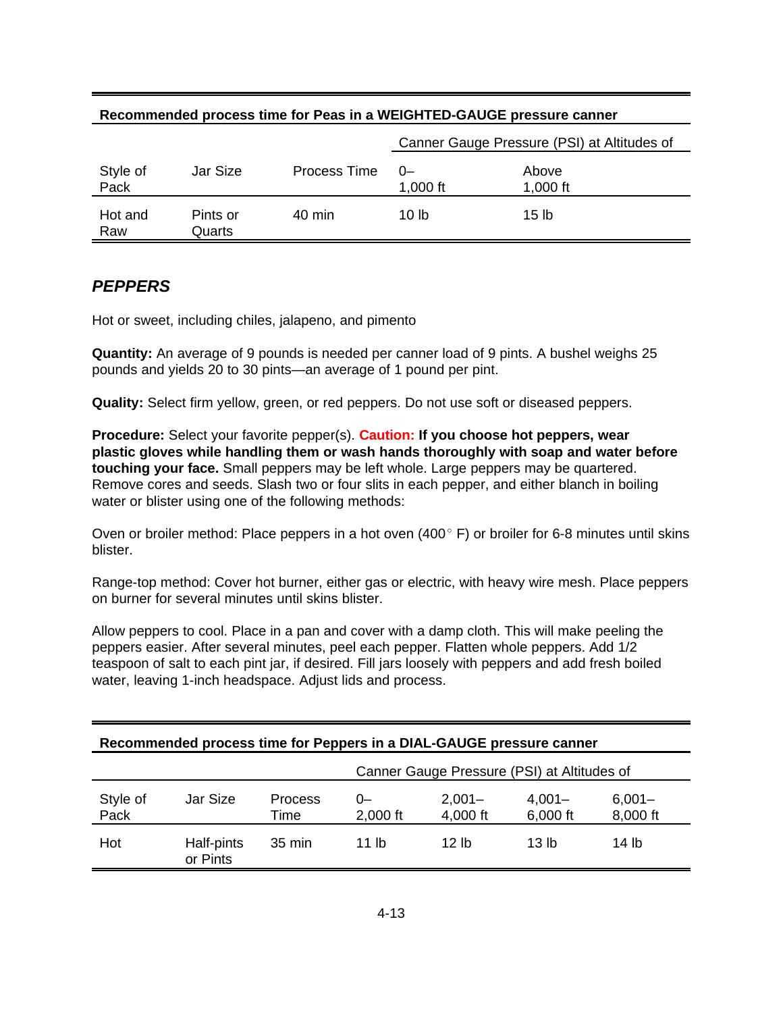|                  |                    |              | Canner Gauge Pressure (PSI) at Altitudes of |                   |  |  |  |
|------------------|--------------------|--------------|---------------------------------------------|-------------------|--|--|--|
| Style of<br>Pack | Jar Size           | Process Time | $0-$<br>1,000 ft                            | Above<br>1,000 ft |  |  |  |
| Hot and<br>Raw   | Pints or<br>Quarts | 40 min       | 10 lb                                       | 15 <sub>lb</sub>  |  |  |  |

#### **Recommended process time for Peas in a WEIGHTED-GAUGE pressure canner**

# **PEPPERS**

Hot or sweet, including chiles, jalapeno, and pimento

**Quantity:** An average of 9 pounds is needed per canner load of 9 pints. A bushel weighs 25 pounds and yields 20 to 30 pints—an average of 1 pound per pint.

**Quality:** Select firm yellow, green, or red peppers. Do not use soft or diseased peppers.

**Procedure:** Select your favorite pepper(s). **Caution: If you choose hot peppers, wear plastic gloves while handling them or wash hands thoroughly with soap and water before touching your face.** Small peppers may be left whole. Large peppers may be quartered. Remove cores and seeds. Slash two or four slits in each pepper, and either blanch in boiling water or blister using one of the following methods:

Oven or broiler method: Place peppers in a hot oven  $(400^{\circ} \text{ F})$  or broiler for 6-8 minutes until skins blister.

Range-top method: Cover hot burner, either gas or electric, with heavy wire mesh. Place peppers on burner for several minutes until skins blister.

Allow peppers to cool. Place in a pan and cover with a damp cloth. This will make peeling the peppers easier. After several minutes, peel each pepper. Flatten whole peppers. Add 1/2 teaspoon of salt to each pint jar, if desired. Fill jars loosely with peppers and add fresh boiled water, leaving 1-inch headspace. Adjust lids and process.

| Recommended process time for Peppers in a DIAL-GAUGE pressure canner |                                                                                                                            |                  |                                             |       |       |       |  |  |  |  |
|----------------------------------------------------------------------|----------------------------------------------------------------------------------------------------------------------------|------------------|---------------------------------------------|-------|-------|-------|--|--|--|--|
|                                                                      |                                                                                                                            |                  | Canner Gauge Pressure (PSI) at Altitudes of |       |       |       |  |  |  |  |
| Style of<br>Pack                                                     | Jar Size<br>$2,001 -$<br>Process<br>$4,001 -$<br>$6,001 -$<br>$0-$<br>8,000 ft<br>4,000 ft<br>6,000 ft<br>2,000 ft<br>Time |                  |                                             |       |       |       |  |  |  |  |
| Hot                                                                  | Half-pints<br>or Pints                                                                                                     | $35 \text{ min}$ | 11 lb                                       | 12 lb | 13 lb | 14 lb |  |  |  |  |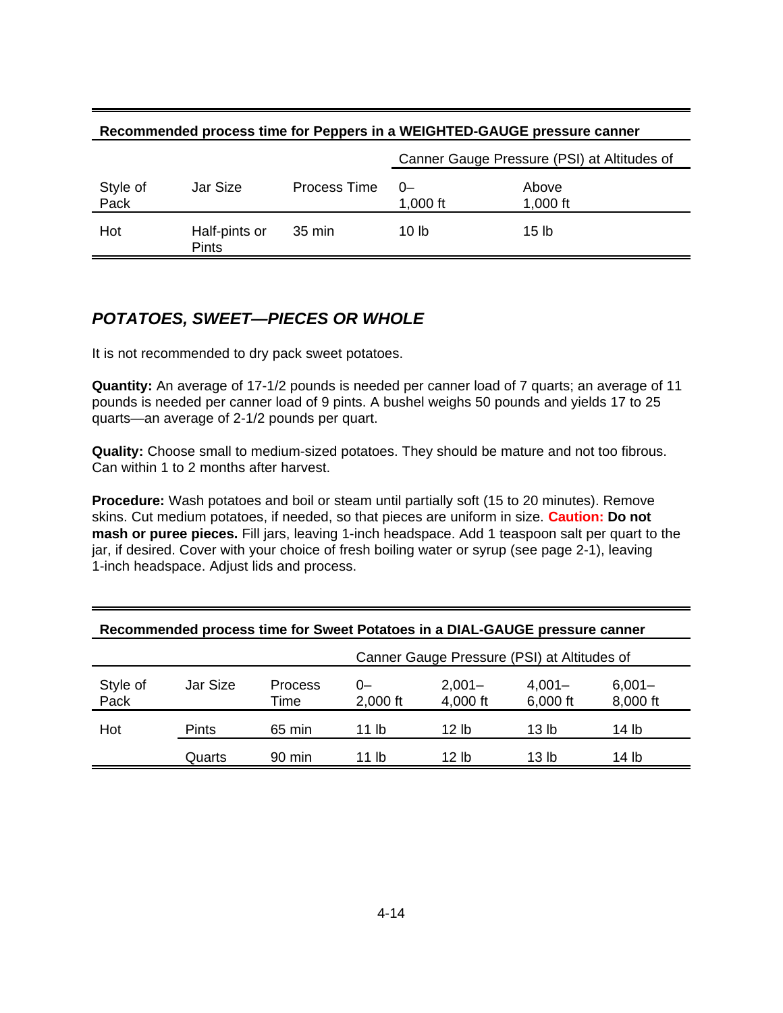| Recommended process time for Peppers in a WEIGHTED-GAUGE pressure canner |                               |                  |                                             |                   |  |  |  |  |
|--------------------------------------------------------------------------|-------------------------------|------------------|---------------------------------------------|-------------------|--|--|--|--|
|                                                                          |                               |                  | Canner Gauge Pressure (PSI) at Altitudes of |                   |  |  |  |  |
| Style of<br>Pack                                                         | Jar Size                      | Process Time     | $0-$<br>1,000 ft                            | Above<br>1,000 ft |  |  |  |  |
| Hot                                                                      | Half-pints or<br><b>Pints</b> | $35 \text{ min}$ | 10 lb                                       | 15 lb             |  |  |  |  |

# **POTATOES, SWEET—PIECES OR WHOLE**

It is not recommended to dry pack sweet potatoes.

**Quantity:** An average of 17-1/2 pounds is needed per canner load of 7 quarts; an average of 11 pounds is needed per canner load of 9 pints. A bushel weighs 50 pounds and yields 17 to 25 quarts—an average of 2-1/2 pounds per quart.

**Quality:** Choose small to medium-sized potatoes. They should be mature and not too fibrous. Can within 1 to 2 months after harvest.

**Procedure:** Wash potatoes and boil or steam until partially soft (15 to 20 minutes). Remove skins. Cut medium potatoes, if needed, so that pieces are uniform in size. **Caution: Do not mash or puree pieces.** Fill jars, leaving 1-inch headspace. Add 1 teaspoon salt per quart to the jar, if desired. Cover with your choice of fresh boiling water or syrup (see page 2-1), leaving 1-inch headspace. Adjust lids and process.

|                  |              |                        | Canner Gauge Pressure (PSI) at Altitudes of |                       |                       |                       |  |  |  |
|------------------|--------------|------------------------|---------------------------------------------|-----------------------|-----------------------|-----------------------|--|--|--|
| Style of<br>Pack | Jar Size     | <b>Process</b><br>Time | 0-<br>$2,000$ ft                            | $2,001 -$<br>4,000 ft | $4,001 -$<br>6,000 ft | $6,001 -$<br>8,000 ft |  |  |  |
| Hot              | <b>Pints</b> | 65 min                 | 11 lb                                       | 12 lb                 | 13 lb                 | 14 lb                 |  |  |  |
|                  | Quarts       | $90 \text{ min}$       | 11 lb                                       | 12 lb                 | 13 lb                 | 14 lb                 |  |  |  |

#### **Recommended process time for Sweet Potatoes in a DIAL-GAUGE pressure canner**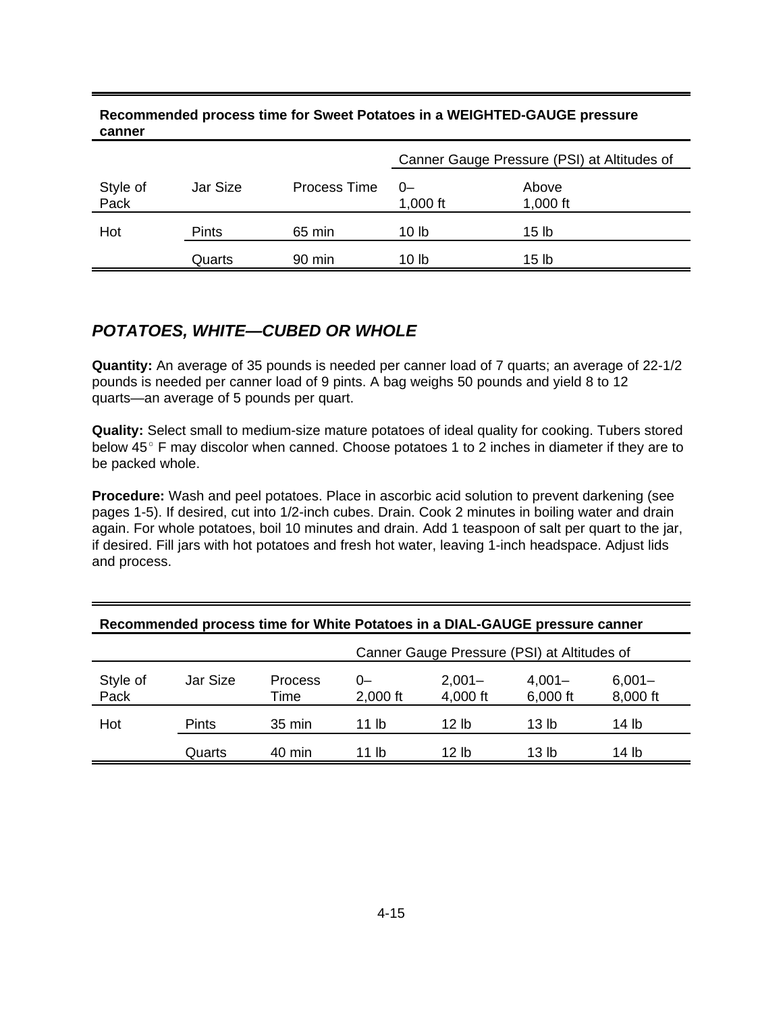| canner           |                                             |                  |                  |                     |  |  |
|------------------|---------------------------------------------|------------------|------------------|---------------------|--|--|
|                  | Canner Gauge Pressure (PSI) at Altitudes of |                  |                  |                     |  |  |
| Style of<br>Pack | Jar Size                                    | Process Time     | $0-$<br>1,000 ft | Above<br>1,000 $ft$ |  |  |
| Hot              | <b>Pints</b>                                | 65 min           | 10 <sub>1b</sub> | 15 <sub>lb</sub>    |  |  |
|                  | Quarts                                      | $90 \text{ min}$ | 10 lb            | 15 <sub>lb</sub>    |  |  |

#### **Recommended process time for Sweet Potatoes in a WEIGHTED-GAUGE pressure canner**

# **POTATOES, WHITE—CUBED OR WHOLE**

**Quantity:** An average of 35 pounds is needed per canner load of 7 quarts; an average of 22-1/2 pounds is needed per canner load of 9 pints. A bag weighs 50 pounds and yield 8 to 12 quarts—an average of 5 pounds per quart.

**Quality:** Select small to medium-size mature potatoes of ideal quality for cooking. Tubers stored below  $45^\circ$  F may discolor when canned. Choose potatoes 1 to 2 inches in diameter if they are to be packed whole.

**Procedure:** Wash and peel potatoes. Place in ascorbic acid solution to prevent darkening (see pages 1-5). If desired, cut into 1/2-inch cubes. Drain. Cook 2 minutes in boiling water and drain again. For whole potatoes, boil 10 minutes and drain. Add 1 teaspoon of salt per quart to the jar, if desired. Fill jars with hot potatoes and fresh hot water, leaving 1-inch headspace. Adjust lids and process.

|                  |              |                        |                | Canner Gauge Pressure (PSI) at Altitudes of |                       |                       |  |  |  |  |
|------------------|--------------|------------------------|----------------|---------------------------------------------|-----------------------|-----------------------|--|--|--|--|
| Style of<br>Pack | Jar Size     | <b>Process</b><br>Time | 0-<br>2,000 ft | $2,001 -$<br>4,000 ft                       | $4,001 -$<br>6,000 ft | $6,001 -$<br>8,000 ft |  |  |  |  |
| Hot              | <b>Pints</b> | 35 min                 | 11 lb          | 12 lb                                       | 13 lb                 | 14 lb                 |  |  |  |  |
|                  | Quarts       | 40 min                 | 11 lb          | 12 lb                                       | 13 lb                 | 14 lb                 |  |  |  |  |

#### **Recommended process time for White Potatoes in a DIAL-GAUGE pressure canner**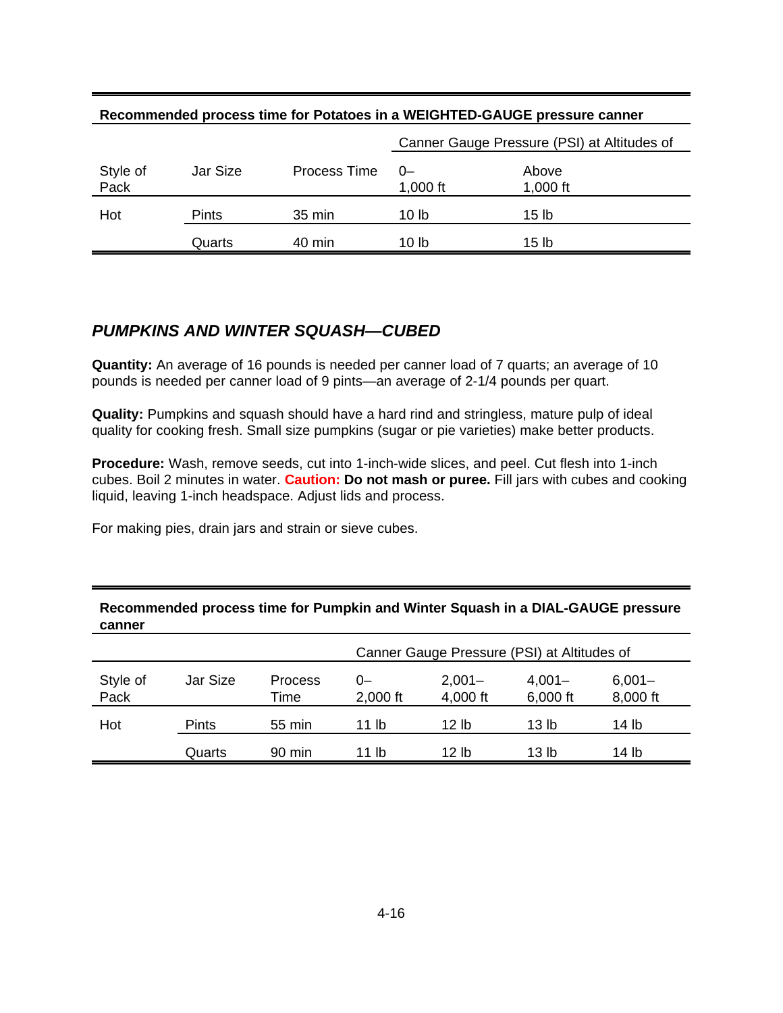|                  | <u>NECOMMICIUSU DI OCESSIMIE IUI FULALUES III A WEIGHTED-GAUGE DIESSUIE CANIEI</u> |              |                                             |                   |  |  |  |  |  |
|------------------|------------------------------------------------------------------------------------|--------------|---------------------------------------------|-------------------|--|--|--|--|--|
|                  |                                                                                    |              | Canner Gauge Pressure (PSI) at Altitudes of |                   |  |  |  |  |  |
| Style of<br>Pack | Jar Size                                                                           | Process Time | 0-<br>1,000 ft                              | Above<br>1,000 ft |  |  |  |  |  |
| Hot              | <b>Pints</b>                                                                       | 35 min       | 10 lb                                       | 15 lb             |  |  |  |  |  |
|                  | Quarts                                                                             | 40 min       | 10 lb                                       | 15 lb             |  |  |  |  |  |

#### **Recommended process time for Potatoes in a WEIGHTED-GAUGE pressure canner**

## **PUMPKINS AND WINTER SQUASH—CUBED**

**Quantity:** An average of 16 pounds is needed per canner load of 7 quarts; an average of 10 pounds is needed per canner load of 9 pints—an average of 2-1/4 pounds per quart.

**Quality:** Pumpkins and squash should have a hard rind and stringless, mature pulp of ideal quality for cooking fresh. Small size pumpkins (sugar or pie varieties) make better products.

**Procedure:** Wash, remove seeds, cut into 1-inch-wide slices, and peel. Cut flesh into 1-inch cubes. Boil 2 minutes in water. **Caution: Do not mash or puree.** Fill jars with cubes and cooking liquid, leaving 1-inch headspace. Adjust lids and process.

For making pies, drain jars and strain or sieve cubes.

|                  |              |                  | Canner Gauge Pressure (PSI) at Altitudes of |                       |                       |                       |  |  |
|------------------|--------------|------------------|---------------------------------------------|-----------------------|-----------------------|-----------------------|--|--|
| Style of<br>Pack | Jar Size     | Process<br>Time  | 0-<br>2,000 ft                              | $2,001 -$<br>4,000 ft | $4,001 -$<br>6,000 ft | $6,001 -$<br>8,000 ft |  |  |
| Hot              | <b>Pints</b> | 55 min           | 11 lb                                       | 12 lb                 | 13 lb                 | 14 lb                 |  |  |
|                  | Quarts       | $90 \text{ min}$ | 11 lb                                       | 12 lb                 | 13 lb                 | 14 lb                 |  |  |

#### **Recommended process time for Pumpkin and Winter Squash in a DIAL-GAUGE pressure canner**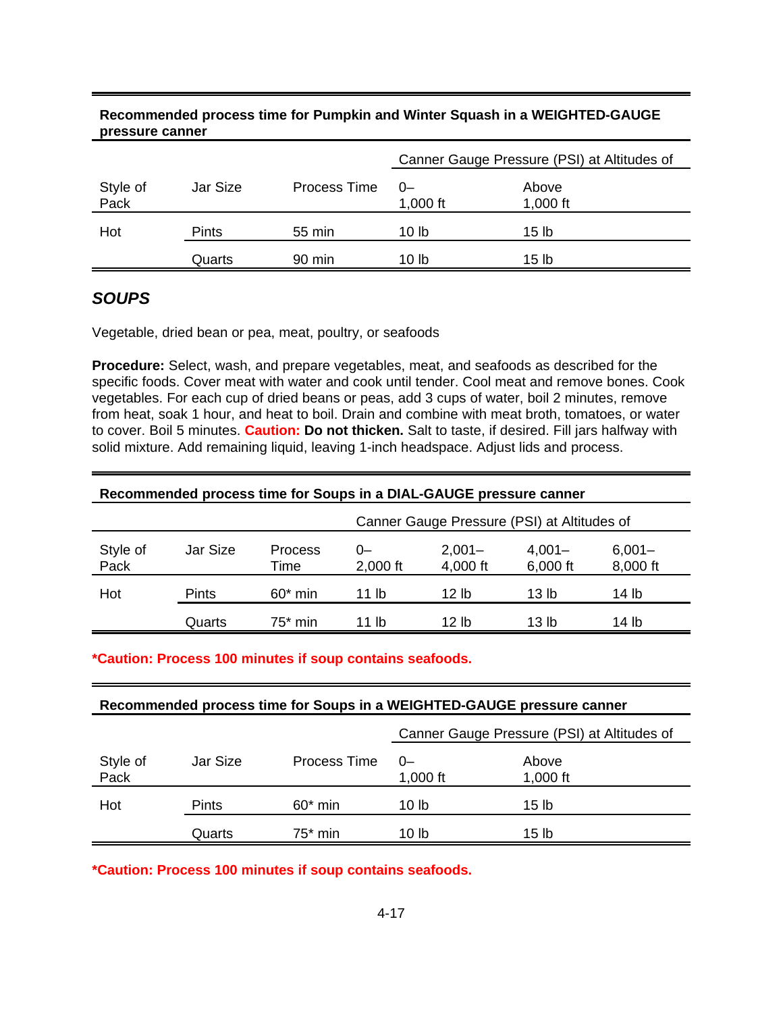# **pressure canner** Canner Gauge Pressure (PSI) at Altitudes of Style of Jar Size Process Time 0– Above Pack 1,000 ft 1,000 ft 1,000 ft Hot Pints 55 min 10 lb 15 lb

Quarts 90 min 10 lb 15 lb

# **Recommended process time for Pumpkin and Winter Squash in a WEIGHTED-GAUGE**

# **SOUPS**

Vegetable, dried bean or pea, meat, poultry, or seafoods

**Procedure:** Select, wash, and prepare vegetables, meat, and seafoods as described for the specific foods. Cover meat with water and cook until tender. Cool meat and remove bones. Cook vegetables. For each cup of dried beans or peas, add 3 cups of water, boil 2 minutes, remove from heat, soak 1 hour, and heat to boil. Drain and combine with meat broth, tomatoes, or water to cover. Boil 5 minutes. **Caution: Do not thicken.** Salt to taste, if desired. Fill jars halfway with solid mixture. Add remaining liquid, leaving 1-inch headspace. Adjust lids and process.

#### **Recommended process time for Soups in a DIAL-GAUGE pressure canner**

|                  |              |                 | Canner Gauge Pressure (PSI) at Altitudes of |                       |       |       |  |  |
|------------------|--------------|-----------------|---------------------------------------------|-----------------------|-------|-------|--|--|
| Style of<br>Pack | Jar Size     | Process<br>Time | 0-<br>$2,000$ ft                            | $6,001 -$<br>8,000 ft |       |       |  |  |
| Hot              | <b>Pints</b> | $60*$ min       | 11 lb                                       | 12 lb                 | 13 lb | 14 lb |  |  |
|                  | Quarts       | 75* min         | 11 lb                                       | 12 lb                 | 13 lb | 14 lb |  |  |

#### **\*Caution: Process 100 minutes if soup contains seafoods.**

#### **Recommended process time for Soups in a WEIGHTED-GAUGE pressure canner**

|                  |          |              | Canner Gauge Pressure (PSI) at Altitudes of |                     |  |
|------------------|----------|--------------|---------------------------------------------|---------------------|--|
| Style of<br>Pack | Jar Size | Process Time | 0-<br>1,000 $ft$                            | Above<br>1,000 $ft$ |  |
| Hot              | Pints    | $60*$ min    | 10 lb                                       | 15 <sub>lb</sub>    |  |
|                  | Quarts   | $75^*$ min   | 10 lb                                       | 15 lb               |  |

**\*Caution: Process 100 minutes if soup contains seafoods.**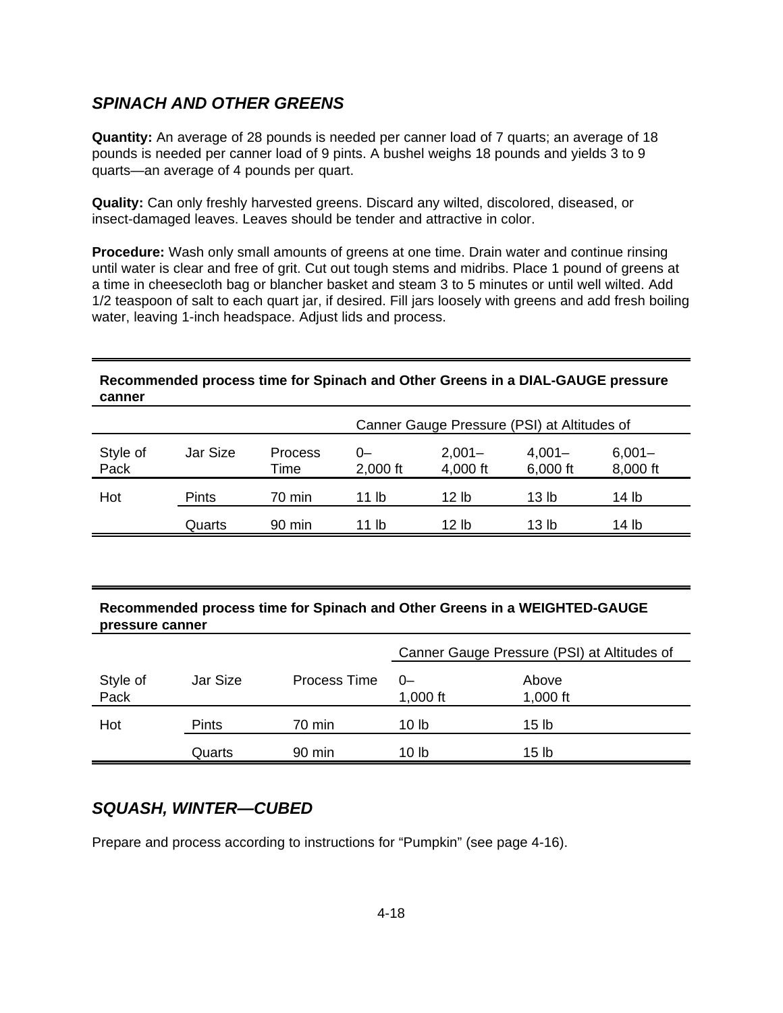# **SPINACH AND OTHER GREENS**

**Quantity:** An average of 28 pounds is needed per canner load of 7 quarts; an average of 18 pounds is needed per canner load of 9 pints. A bushel weighs 18 pounds and yields 3 to 9 quarts—an average of 4 pounds per quart.

**Quality:** Can only freshly harvested greens. Discard any wilted, discolored, diseased, or insect-damaged leaves. Leaves should be tender and attractive in color.

**Procedure:** Wash only small amounts of greens at one time. Drain water and continue rinsing until water is clear and free of grit. Cut out tough stems and midribs. Place 1 pound of greens at a time in cheesecloth bag or blancher basket and steam 3 to 5 minutes or until well wilted. Add 1/2 teaspoon of salt to each quart jar, if desired. Fill jars loosely with greens and add fresh boiling water, leaving 1-inch headspace. Adjust lids and process.

#### **Recommended process time for Spinach and Other Greens in a DIAL-GAUGE pressure canner**

|                  |              |                  | Canner Gauge Pressure (PSI) at Altitudes of |                       |                       |                       |  |  |
|------------------|--------------|------------------|---------------------------------------------|-----------------------|-----------------------|-----------------------|--|--|
| Style of<br>Pack | Jar Size     | Process<br>Time  | 0-<br>$2,000$ ft                            | $2,001 -$<br>4,000 ft | $4,001 -$<br>6,000 ft | $6,001 -$<br>8,000 ft |  |  |
| Hot              | <b>Pints</b> | 70 min           | 11 lb                                       | 12 lh                 | 13 lb                 | 14 lb                 |  |  |
|                  | Quarts       | $90 \text{ min}$ | 11 lb                                       | 12 lb                 | 13 lb                 | 14 lb                 |  |  |

#### **Recommended process time for Spinach and Other Greens in a WEIGHTED-GAUGE pressure canner**

|                  |              |              | Canner Gauge Pressure (PSI) at Altitudes of |                     |
|------------------|--------------|--------------|---------------------------------------------|---------------------|
| Style of<br>Pack | Jar Size     | Process Time | $0-$<br>1,000 $ft$                          | Above<br>1,000 $ft$ |
| Hot              | <b>Pints</b> | 70 min       | 10 lb                                       | 15 <sub>lb</sub>    |
|                  | Quarts       | 90 min       | 10 lb                                       | 15 lb               |

# **SQUASH, WINTER—CUBED**

Prepare and process according to instructions for "Pumpkin" (see page 4-16).